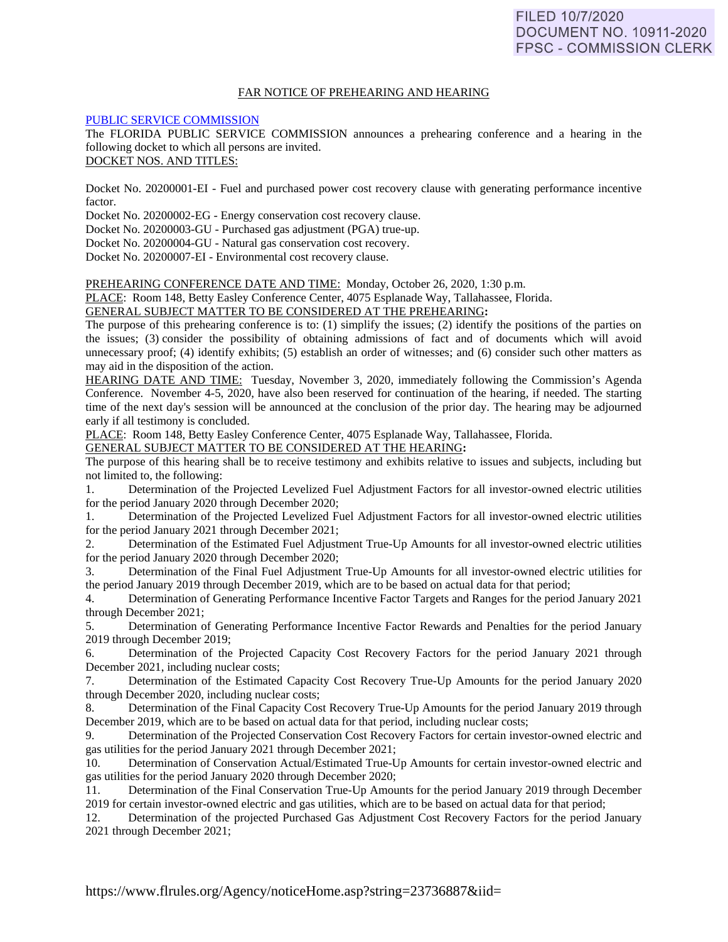### FAR NOTICE OF PREHEARING AND HEARING

### [PUBLIC SERVICE COMMISSION](https://www.flrules.org/gateway/department.asp?id=25)

The FLORIDA PUBLIC SERVICE COMMISSION announces a prehearing conference and a hearing in the following docket to which all persons are invited.

DOCKET NOS. AND TITLES:

Docket No. 20200001-EI - Fuel and purchased power cost recovery clause with generating performance incentive factor.

Docket No. 20200002-EG - Energy conservation cost recovery clause.

Docket No. 20200003-GU - Purchased gas adjustment (PGA) true-up.

Docket No. 20200004-GU - Natural gas conservation cost recovery.

Docket No. 20200007-EI - Environmental cost recovery clause.

PREHEARING CONFERENCE DATE AND TIME: Monday, October 26, 2020, 1:30 p.m.

PLACE: Room 148, Betty Easley Conference Center, 4075 Esplanade Way, Tallahassee, Florida.

GENERAL SUBJECT MATTER TO BE CONSIDERED AT THE PREHEARING**:** 

The purpose of this prehearing conference is to: (1) simplify the issues;  $\overline{(2)}$  identify the positions of the parties on the issues; (3) consider the possibility of obtaining admissions of fact and of documents which will avoid unnecessary proof; (4) identify exhibits; (5) establish an order of witnesses; and (6) consider such other matters as may aid in the disposition of the action.

HEARING DATE AND TIME: Tuesday, November 3, 2020, immediately following the Commission's Agenda Conference. November 4-5, 2020, have also been reserved for continuation of the hearing, if needed. The starting time of the next day's session will be announced at the conclusion of the prior day. The hearing may be adjourned early if all testimony is concluded.

PLACE: Room 148, Betty Easley Conference Center, 4075 Esplanade Way, Tallahassee, Florida.

GENERAL SUBJECT MATTER TO BE CONSIDERED AT THE HEARING**:** 

The purpose of this hearing shall be to receive testimony and exhibits relative to issues and subjects, including but not limited to, the following:

1. Determination of the Projected Levelized Fuel Adjustment Factors for all investor-owned electric utilities for the period January 2020 through December 2020;

1. Determination of the Projected Levelized Fuel Adjustment Factors for all investor-owned electric utilities for the period January 2021 through December 2021;

2. Determination of the Estimated Fuel Adjustment True-Up Amounts for all investor-owned electric utilities for the period January 2020 through December 2020;

3. Determination of the Final Fuel Adjustment True-Up Amounts for all investor-owned electric utilities for the period January 2019 through December 2019, which are to be based on actual data for that period;

4. Determination of Generating Performance Incentive Factor Targets and Ranges for the period January 2021 through December 2021;

5. Determination of Generating Performance Incentive Factor Rewards and Penalties for the period January 2019 through December 2019;

6. Determination of the Projected Capacity Cost Recovery Factors for the period January 2021 through December 2021, including nuclear costs;

7. Determination of the Estimated Capacity Cost Recovery True-Up Amounts for the period January 2020 through December 2020, including nuclear costs;

8. Determination of the Final Capacity Cost Recovery True-Up Amounts for the period January 2019 through December 2019, which are to be based on actual data for that period, including nuclear costs;

9. Determination of the Projected Conservation Cost Recovery Factors for certain investor-owned electric and gas utilities for the period January 2021 through December 2021;

10. Determination of Conservation Actual/Estimated True-Up Amounts for certain investor-owned electric and gas utilities for the period January 2020 through December 2020;

11. Determination of the Final Conservation True-Up Amounts for the period January 2019 through December 2019 for certain investor-owned electric and gas utilities, which are to be based on actual data for that period;

12. Determination of the projected Purchased Gas Adjustment Cost Recovery Factors for the period January 2021 through December 2021;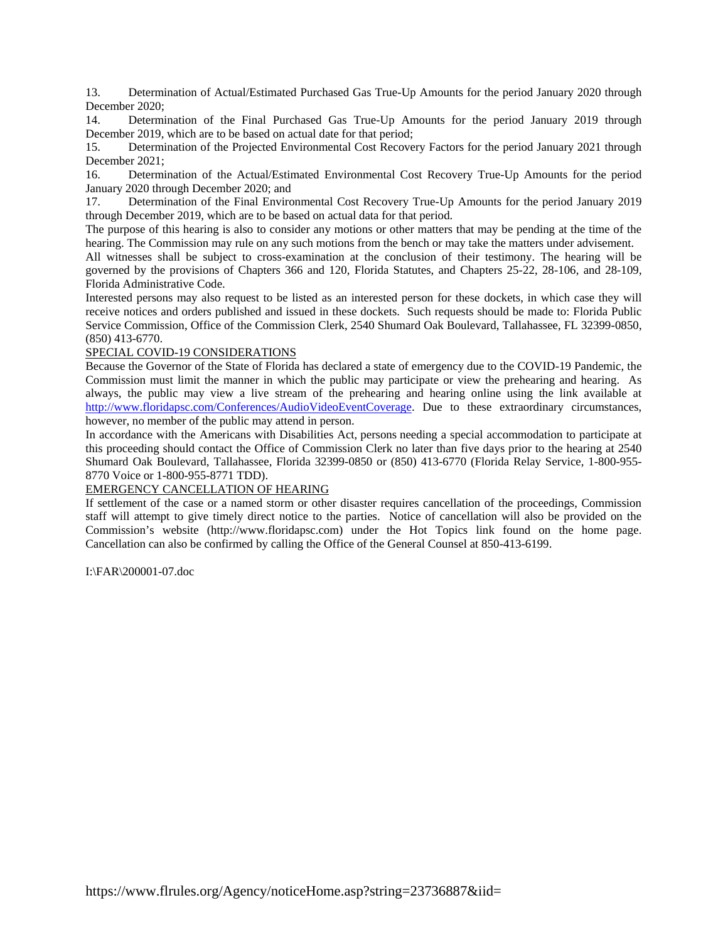13. Determination of Actual/Estimated Purchased Gas True-Up Amounts for the period January 2020 through December 2020;

14. Determination of the Final Purchased Gas True-Up Amounts for the period January 2019 through December 2019, which are to be based on actual date for that period;

15. Determination of the Projected Environmental Cost Recovery Factors for the period January 2021 through December 2021;

16. Determination of the Actual/Estimated Environmental Cost Recovery True-Up Amounts for the period January 2020 through December 2020; and

17. Determination of the Final Environmental Cost Recovery True-Up Amounts for the period January 2019 through December 2019, which are to be based on actual data for that period.

The purpose of this hearing is also to consider any motions or other matters that may be pending at the time of the hearing. The Commission may rule on any such motions from the bench or may take the matters under advisement.

All witnesses shall be subject to cross-examination at the conclusion of their testimony. The hearing will be governed by the provisions of Chapters 366 and 120, Florida Statutes, and Chapters 25-22, 28-106, and 28-109, Florida Administrative Code.

Interested persons may also request to be listed as an interested person for these dockets, in which case they will receive notices and orders published and issued in these dockets. Such requests should be made to: Florida Public Service Commission, Office of the Commission Clerk, 2540 Shumard Oak Boulevard, Tallahassee, FL 32399-0850, (850) 413-6770.

# SPECIAL COVID-19 CONSIDERATIONS

Because the Governor of the State of Florida has declared a state of emergency due to the COVID-19 Pandemic, the Commission must limit the manner in which the public may participate or view the prehearing and hearing. As always, the public may view a live stream of the prehearing and hearing online using the link available at [http://www.floridapsc.com/Conferences/AudioVideoEventCoverage.](http://www.floridapsc.com/Conferences/AudioVideoEventCoverage) Due to these extraordinary circumstances, however, no member of the public may attend in person.

In accordance with the Americans with Disabilities Act, persons needing a special accommodation to participate at this proceeding should contact the Office of Commission Clerk no later than five days prior to the hearing at 2540 Shumard Oak Boulevard, Tallahassee, Florida 32399-0850 or (850) 413-6770 (Florida Relay Service, 1-800-955- 8770 Voice or 1-800-955-8771 TDD).

### EMERGENCY CANCELLATION OF HEARING

If settlement of the case or a named storm or other disaster requires cancellation of the proceedings, Commission staff will attempt to give timely direct notice to the parties. Notice of cancellation will also be provided on the Commission's website (http://www.floridapsc.com) under the Hot Topics link found on the home page. Cancellation can also be confirmed by calling the Office of the General Counsel at 850-413-6199.

I:\FAR\200001-07.doc